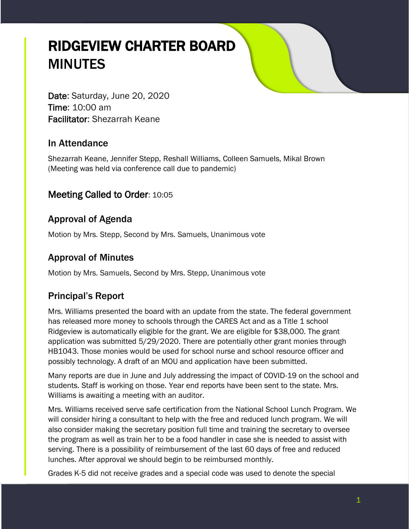# RIDGEVIEW CHARTER BOARD MINUTES

Date: Saturday, June 20, 2020 Time: 10:00 am Facilitator: Shezarrah Keane

#### In Attendance

Shezarrah Keane, Jennifer Stepp, Reshall Williams, Colleen Samuels, Mikal Brown (Meeting was held via conference call due to pandemic)

### Meeting Called to Order: 10:05

# Approval of Agenda

Motion by Mrs. Stepp, Second by Mrs. Samuels, Unanimous vote

## Approval of Minutes

Motion by Mrs. Samuels, Second by Mrs. Stepp, Unanimous vote

# Principal's Report

Mrs. Williams presented the board with an update from the state. The federal government has released more money to schools through the CARES Act and as a Title 1 school Ridgeview is automatically eligible for the grant. We are eligible for \$38,000. The grant application was submitted 5/29/2020. There are potentially other grant monies through HB1043. Those monies would be used for school nurse and school resource officer and possibly technology. A draft of an MOU and application have been submitted.

Many reports are due in June and July addressing the impact of COVID-19 on the school and students. Staff is working on those. Year end reports have been sent to the state. Mrs. Williams is awaiting a meeting with an auditor.

Mrs. Williams received serve safe certification from the National School Lunch Program. We will consider hiring a consultant to help with the free and reduced lunch program. We will also consider making the secretary position full time and training the secretary to oversee the program as well as train her to be a food handler in case she is needed to assist with serving. There is a possibility of reimbursement of the last 60 days of free and reduced lunches. After approval we should begin to be reimbursed monthly.

Grades K-5 did not receive grades and a special code was used to denote the special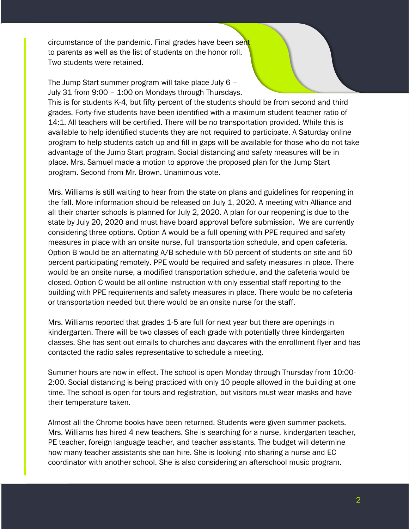circumstance of the pandemic. Final grades have been sent to parents as well as the list of students on the honor roll. Two students were retained.

The Jump Start summer program will take place July 6 – July 31 from 9:00 – 1:00 on Mondays through Thursdays. This is for students K-4, but fifty percent of the students should be from second and third grades. Forty-five students have been identified with a maximum student teacher ratio of 14:1. All teachers will be certified. There will be no transportation provided. While this is available to help identified students they are not required to participate. A Saturday online program to help students catch up and fill in gaps will be available for those who do not take advantage of the Jump Start program. Social distancing and safety measures will be in place. Mrs. Samuel made a motion to approve the proposed plan for the Jump Start program. Second from Mr. Brown. Unanimous vote.

Mrs. Williams is still waiting to hear from the state on plans and guidelines for reopening in the fall. More information should be released on July 1, 2020. A meeting with Alliance and all their charter schools is planned for July 2, 2020. A plan for our reopening is due to the state by July 20, 2020 and must have board approval before submission. We are currently considering three options. Option A would be a full opening with PPE required and safety measures in place with an onsite nurse, full transportation schedule, and open cafeteria. Option B would be an alternating A/B schedule with 50 percent of students on site and 50 percent participating remotely. PPE would be required and safety measures in place. There would be an onsite nurse, a modified transportation schedule, and the cafeteria would be closed. Option C would be all online instruction with only essential staff reporting to the building with PPE requirements and safety measures in place. There would be no cafeteria or transportation needed but there would be an onsite nurse for the staff.

Mrs. Williams reported that grades 1-5 are full for next year but there are openings in kindergarten. There will be two classes of each grade with potentially three kindergarten classes. She has sent out emails to churches and daycares with the enrollment flyer and has contacted the radio sales representative to schedule a meeting.

Summer hours are now in effect. The school is open Monday through Thursday from 10:00- 2:00. Social distancing is being practiced with only 10 people allowed in the building at one time. The school is open for tours and registration, but visitors must wear masks and have their temperature taken.

Almost all the Chrome books have been returned. Students were given summer packets. Mrs. Williams has hired 4 new teachers. She is searching for a nurse, kindergarten teacher, PE teacher, foreign language teacher, and teacher assistants. The budget will determine how many teacher assistants she can hire. She is looking into sharing a nurse and EC coordinator with another school. She is also considering an afterschool music program.